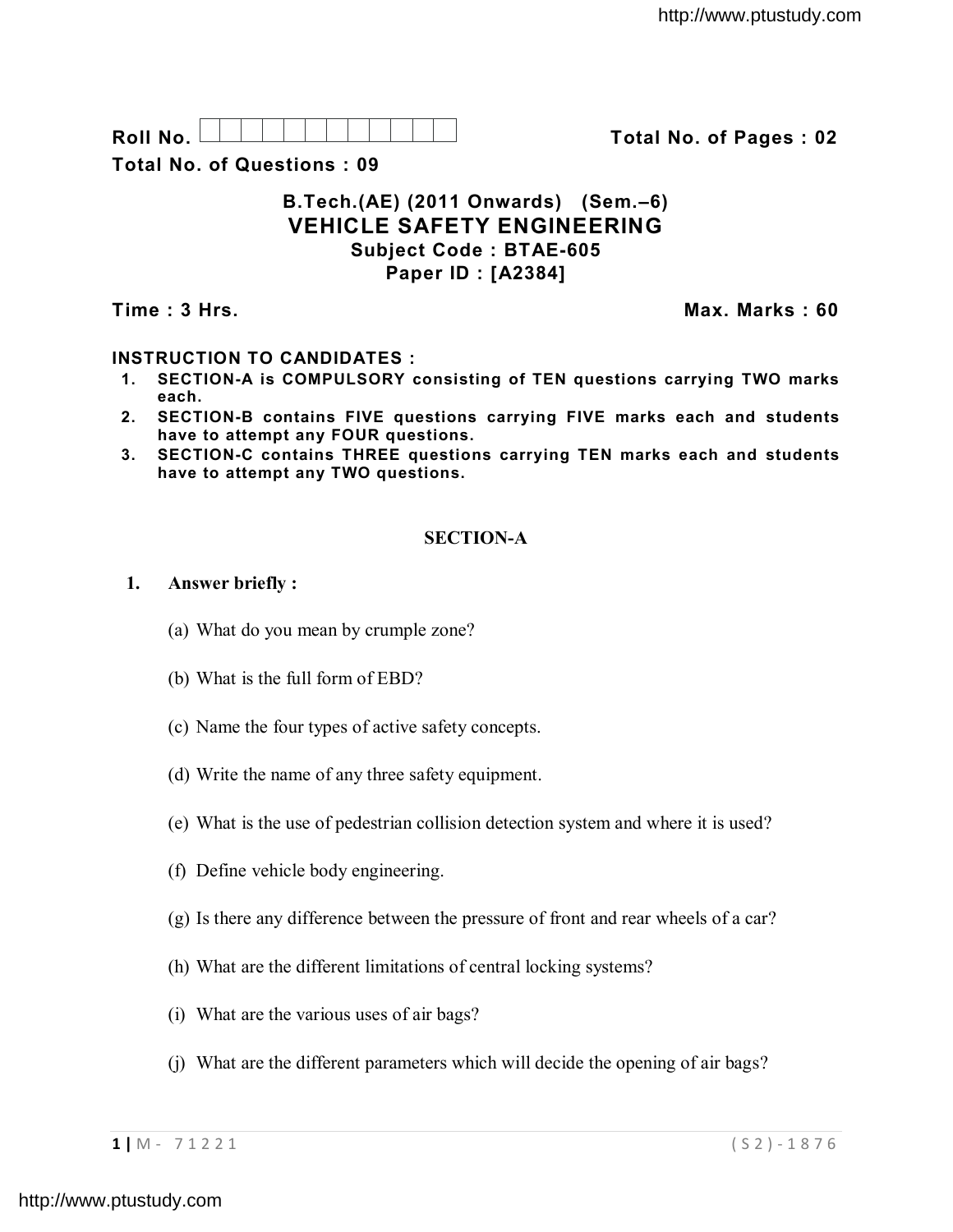| R<br>്പി. |  |  |  |  |  |  |  |
|-----------|--|--|--|--|--|--|--|
|           |  |  |  |  |  |  |  |
|           |  |  |  |  |  |  |  |
|           |  |  |  |  |  |  |  |
|           |  |  |  |  |  |  |  |

**Roll No. Total No. of Pages : 02**

**Total No. of Questions : 09**

## **B.Tech.(AE) (2011 Onwards) (Sem.–6) VEHICLE SAFETY ENGINEERING Subject Code : BTAE-605 Paper ID : [A2384]**

**Time : 3 Hrs. Max. Marks : 60**

# **INSTRUCTION TO CANDIDATES :**

- **1. SECTION-A is COMPULSORY consisting of TEN questions carrying TWO marks each.**
- **2. SECTION-B contains FIVE questions carrying FIVE marks each and students have to attempt any FOUR questions.**
- **3. SECTION-C contains THREE questions carrying TEN marks each and students have to attempt any TWO questions.**

## **SECTION-A**

## **1. Answer briefly :**

- (a) What do you mean by crumple zone?
- (b) What is the full form of EBD?
- (c) Name the four types of active safety concepts.
- (d) Write the name of any three safety equipment.
- (e) What is the use of pedestrian collision detection system and where it is used?
- (f) Define vehicle body engineering.
- (g) Is there any difference between the pressure of front and rear wheels of a car?
- (h) What are the different limitations of central locking systems?
- (i) What are the various uses of air bags?
- (j) What are the different parameters which will decide the opening of air bags?

**1 |** M - 7 1 2 2 1 ( S 2 ) - 1 8 7 6